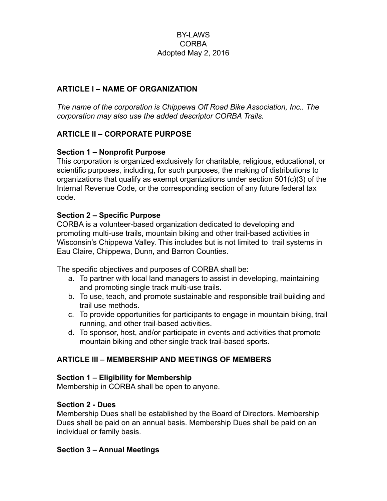### BY-LAWS CORBA Adopted May 2, 2016

#### **ARTICLE I – NAME OF ORGANIZATION**

*The name of the corporation is Chippewa Off Road Bike Association, Inc.. The corporation may also use the added descriptor CORBA Trails.*

### **ARTICLE II – CORPORATE PURPOSE**

#### **Section 1 – Nonprofit Purpose**

This corporation is organized exclusively for charitable, religious, educational, or scientific purposes, including, for such purposes, the making of distributions to organizations that qualify as exempt organizations under section 501(c)(3) of the Internal Revenue Code, or the corresponding section of any future federal tax code.

#### **Section 2 – Specific Purpose**

CORBA is a volunteer-based organization dedicated to developing and promoting multi-use trails, mountain biking and other trail-based activities in Wisconsin's Chippewa Valley. This includes but is not limited to trail systems in Eau Claire, Chippewa, Dunn, and Barron Counties.

The specific objectives and purposes of CORBA shall be:

- a. To partner with local land managers to assist in developing, maintaining and promoting single track multi-use trails.
- b. To use, teach, and promote sustainable and responsible trail building and trail use methods.
- c. To provide opportunities for participants to engage in mountain biking, trail running, and other trail-based activities.
- d. To sponsor, host, and/or participate in events and activities that promote mountain biking and other single track trail-based sports.

### **ARTICLE III – MEMBERSHIP AND MEETINGS OF MEMBERS**

#### **Section 1 – Eligibility for Membership**

Membership in CORBA shall be open to anyone.

#### **Section 2 - Dues**

Membership Dues shall be established by the Board of Directors. Membership Dues shall be paid on an annual basis. Membership Dues shall be paid on an individual or family basis.

#### **Section 3 – Annual Meetings**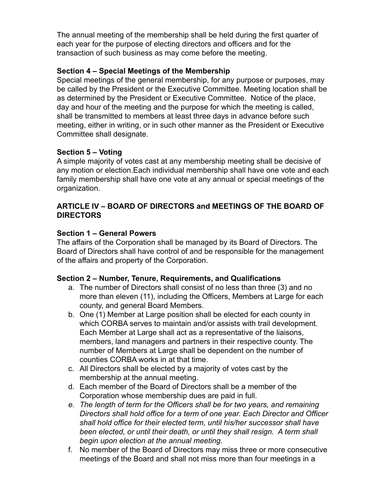The annual meeting of the membership shall be held during the first quarter of each year for the purpose of electing directors and officers and for the transaction of such business as may come before the meeting.

### **Section 4 – Special Meetings of the Membership**

Special meetings of the general membership, for any purpose or purposes, may be called by the President or the Executive Committee. Meeting location shall be as determined by the President or Executive Committee. Notice of the place, day and hour of the meeting and the purpose for which the meeting is called, shall be transmitted to members at least three days in advance before such meeting, either in writing, or in such other manner as the President or Executive Committee shall designate.

## **Section 5 – Voting**

A simple majority of votes cast at any membership meeting shall be decisive of any motion or election.Each individual membership shall have one vote and each family membership shall have one vote at any annual or special meetings of the organization.

### **ARTICLE IV – BOARD OF DIRECTORS and MEETINGS OF THE BOARD OF DIRECTORS**

## **Section 1 – General Powers**

The affairs of the Corporation shall be managed by its Board of Directors. The Board of Directors shall have control of and be responsible for the management of the affairs and property of the Corporation.

# **Section 2 – Number, Tenure, Requirements, and Qualifications**

- a. The number of Directors shall consist of no less than three (3) and no more than eleven (11), including the Officers, Members at Large for each county, and general Board Members.
- b. One (1) Member at Large position shall be elected for each county in which CORBA serves to maintain and/or assists with trail development. Each Member at Large shall act as a representative of the liaisons, members, land managers and partners in their respective county. The number of Members at Large shall be dependent on the number of counties CORBA works in at that time.
- c. All Directors shall be elected by a majority of votes cast by the membership at the annual meeting.
- d. Each member of the Board of Directors shall be a member of the Corporation whose membership dues are paid in full.
- *e. The length of term for the Officers shall be for two years, and remaining Directors shall hold office for a term of one year. Each Director and Officer shall hold office for their elected term, until his/her successor shall have been elected, or until their death, or until they shall resign. A term shall begin upon election at the annual meeting.*
- f. No member of the Board of Directors may miss three or more consecutive meetings of the Board and shall not miss more than four meetings in a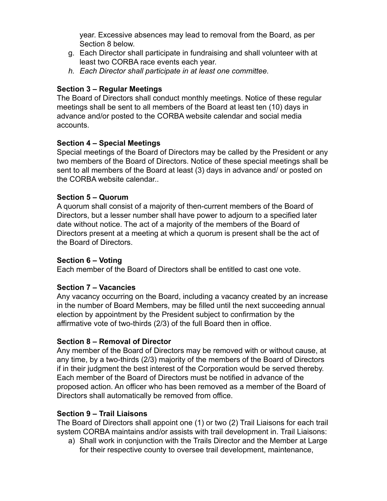year. Excessive absences may lead to removal from the Board, as per Section 8 below.

- g. Each Director shall participate in fundraising and shall volunteer with at least two CORBA race events each year.
- *h. Each Director shall participate in at least one committee.*

## **Section 3 – Regular Meetings**

The Board of Directors shall conduct monthly meetings. Notice of these regular meetings shall be sent to all members of the Board at least ten (10) days in advance and/or posted to the CORBA website calendar and social media accounts.

## **Section 4 – Special Meetings**

Special meetings of the Board of Directors may be called by the President or any two members of the Board of Directors. Notice of these special meetings shall be sent to all members of the Board at least (3) days in advance and/ or posted on the CORBA website calendar..

## **Section 5 – Quorum**

A quorum shall consist of a majority of then-current members of the Board of Directors, but a lesser number shall have power to adjourn to a specified later date without notice. The act of a majority of the members of the Board of Directors present at a meeting at which a quorum is present shall be the act of the Board of Directors.

### **Section 6 – Voting**

Each member of the Board of Directors shall be entitled to cast one vote.

### **Section 7 – Vacancies**

Any vacancy occurring on the Board, including a vacancy created by an increase in the number of Board Members, may be filled until the next succeeding annual election by appointment by the President subject to confirmation by the affirmative vote of two-thirds (2/3) of the full Board then in office.

# **Section 8 – Removal of Director**

Any member of the Board of Directors may be removed with or without cause, at any time, by a two-thirds (2/3) majority of the members of the Board of Directors if in their judgment the best interest of the Corporation would be served thereby. Each member of the Board of Directors must be notified in advance of the proposed action. An officer who has been removed as a member of the Board of Directors shall automatically be removed from office.

# **Section 9 – Trail Liaisons**

The Board of Directors shall appoint one (1) or two (2) Trail Liaisons for each trail system CORBA maintains and/or assists with trail development in. Trail Liaisons:

a) Shall work in conjunction with the Trails Director and the Member at Large for their respective county to oversee trail development, maintenance,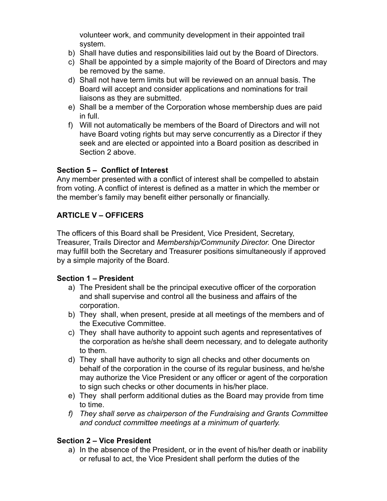volunteer work, and community development in their appointed trail system.

- b) Shall have duties and responsibilities laid out by the Board of Directors.
- c) Shall be appointed by a simple majority of the Board of Directors and may be removed by the same.
- d) Shall not have term limits but will be reviewed on an annual basis. The Board will accept and consider applications and nominations for trail liaisons as they are submitted.
- e) Shall be a member of the Corporation whose membership dues are paid in full.
- f) Will not automatically be members of the Board of Directors and will not have Board voting rights but may serve concurrently as a Director if they seek and are elected or appointed into a Board position as described in Section 2 above.

### **Section 5 – Conflict of Interest**

Any member presented with a conflict of interest shall be compelled to abstain from voting. A conflict of interest is defined as a matter in which the member or the member's family may benefit either personally or financially.

# **ARTICLE V – OFFICERS**

The officers of this Board shall be President, Vice President, Secretary, Treasurer, Trails Director and *Membership/Community Director.* One Director may fulfill both the Secretary and Treasurer positions simultaneously if approved by a simple majority of the Board.

# **Section 1 – President**

- a) The President shall be the principal executive officer of the corporation and shall supervise and control all the business and affairs of the corporation.
- b) They shall, when present, preside at all meetings of the members and of the Executive Committee.
- c) They shall have authority to appoint such agents and representatives of the corporation as he/she shall deem necessary, and to delegate authority to them.
- d) They shall have authority to sign all checks and other documents on behalf of the corporation in the course of its regular business, and he/she may authorize the Vice President or any officer or agent of the corporation to sign such checks or other documents in his/her place.
- e) They shall perform additional duties as the Board may provide from time to time.
- *f) They shall serve as chairperson of the Fundraising and Grants Committee and conduct committee meetings at a minimum of quarterly.*

# **Section 2 – Vice President**

a) In the absence of the President, or in the event of his/her death or inability or refusal to act, the Vice President shall perform the duties of the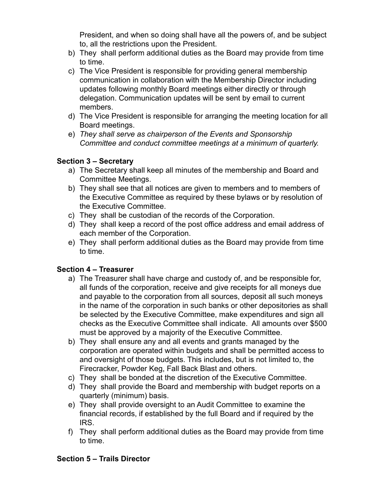President, and when so doing shall have all the powers of, and be subject to, all the restrictions upon the President.

- b) They shall perform additional duties as the Board may provide from time to time.
- c) The Vice President is responsible for providing general membership communication in collaboration with the Membership Director including updates following monthly Board meetings either directly or through delegation. Communication updates will be sent by email to current members.
- d) The Vice President is responsible for arranging the meeting location for all Board meetings.
- e) *They shall serve as chairperson of the Events and Sponsorship Committee and conduct committee meetings at a minimum of quarterly.*

# **Section 3 – Secretary**

- a) The Secretary shall keep all minutes of the membership and Board and Committee Meetings.
- b) They shall see that all notices are given to members and to members of the Executive Committee as required by these bylaws or by resolution of the Executive Committee.
- c) They shall be custodian of the records of the Corporation.
- d) They shall keep a record of the post office address and email address of each member of the Corporation.
- e) They shall perform additional duties as the Board may provide from time to time.

# **Section 4 – Treasurer**

- a) The Treasurer shall have charge and custody of, and be responsible for, all funds of the corporation, receive and give receipts for all moneys due and payable to the corporation from all sources, deposit all such moneys in the name of the corporation in such banks or other depositories as shall be selected by the Executive Committee, make expenditures and sign all checks as the Executive Committee shall indicate. All amounts over \$500 must be approved by a majority of the Executive Committee.
- b) They shall ensure any and all events and grants managed by the corporation are operated within budgets and shall be permitted access to and oversight of those budgets. This includes, but is not limited to, the Firecracker, Powder Keg, Fall Back Blast and others.
- c) They shall be bonded at the discretion of the Executive Committee.
- d) They shall provide the Board and membership with budget reports on a quarterly (minimum) basis.
- e) They shall provide oversight to an Audit Committee to examine the financial records, if established by the full Board and if required by the IRS.
- f) They shall perform additional duties as the Board may provide from time to time.

# **Section 5 – Trails Director**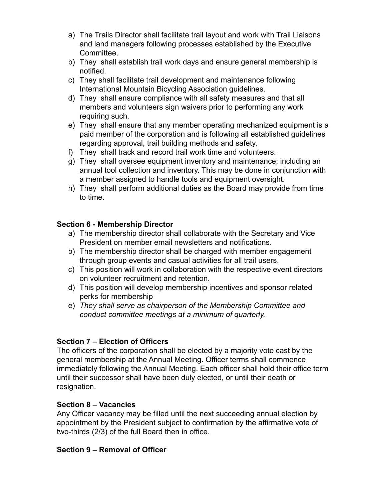- a) The Trails Director shall facilitate trail layout and work with Trail Liaisons and land managers following processes established by the Executive Committee.
- b) They shall establish trail work days and ensure general membership is notified.
- c) They shall facilitate trail development and maintenance following International Mountain Bicycling Association guidelines.
- d) They shall ensure compliance with all safety measures and that all members and volunteers sign waivers prior to performing any work requiring such.
- e) They shall ensure that any member operating mechanized equipment is a paid member of the corporation and is following all established guidelines regarding approval, trail building methods and safety.
- f) They shall track and record trail work time and volunteers.
- g) They shall oversee equipment inventory and maintenance; including an annual tool collection and inventory. This may be done in conjunction with a member assigned to handle tools and equipment oversight.
- h) They shall perform additional duties as the Board may provide from time to time.

## **Section 6 - Membership Director**

- a) The membership director shall collaborate with the Secretary and Vice President on member email newsletters and notifications.
- b) The membership director shall be charged with member engagement through group events and casual activities for all trail users.
- c) This position will work in collaboration with the respective event directors on volunteer recruitment and retention.
- d) This position will develop membership incentives and sponsor related perks for membership
- e) *They shall serve as chairperson of the Membership Committee and conduct committee meetings at a minimum of quarterly.*

### **Section 7 – Election of Officers**

The officers of the corporation shall be elected by a majority vote cast by the general membership at the Annual Meeting. Officer terms shall commence immediately following the Annual Meeting. Each officer shall hold their office term until their successor shall have been duly elected, or until their death or resignation.

### **Section 8 – Vacancies**

Any Officer vacancy may be filled until the next succeeding annual election by appointment by the President subject to confirmation by the affirmative vote of two-thirds (2/3) of the full Board then in office.

### **Section 9 – Removal of Officer**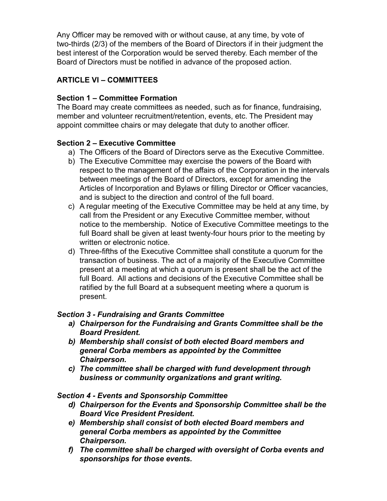Any Officer may be removed with or without cause, at any time, by vote of two-thirds (2/3) of the members of the Board of Directors if in their judgment the best interest of the Corporation would be served thereby. Each member of the Board of Directors must be notified in advance of the proposed action.

# **ARTICLE VI – COMMITTEES**

## **Section 1 – Committee Formation**

The Board may create committees as needed, such as for finance, fundraising, member and volunteer recruitment/retention, events, etc. The President may appoint committee chairs or may delegate that duty to another officer.

## **Section 2 – Executive Committee**

- a) The Officers of the Board of Directors serve as the Executive Committee.
- b) The Executive Committee may exercise the powers of the Board with respect to the management of the affairs of the Corporation in the intervals between meetings of the Board of Directors, except for amending the Articles of Incorporation and Bylaws or filling Director or Officer vacancies, and is subject to the direction and control of the full board.
- c) A regular meeting of the Executive Committee may be held at any time, by call from the President or any Executive Committee member, without notice to the membership. Notice of Executive Committee meetings to the full Board shall be given at least twenty-four hours prior to the meeting by written or electronic notice.
- d) Three-fifths of the Executive Committee shall constitute a quorum for the transaction of business. The act of a majority of the Executive Committee present at a meeting at which a quorum is present shall be the act of the full Board. All actions and decisions of the Executive Committee shall be ratified by the full Board at a subsequent meeting where a quorum is present.

### *Section 3 - Fundraising and Grants Committee*

- *a) Chairperson for the Fundraising and Grants Committee shall be the Board President.*
- *b) Membership shall consist of both elected Board members and general Corba members as appointed by the Committee Chairperson.*
- *c) The committee shall be charged with fund development through business or community organizations and grant writing.*

### *Section 4 - Events and Sponsorship Committee*

- *d) Chairperson for the Events and Sponsorship Committee shall be the Board Vice President President.*
- *e) Membership shall consist of both elected Board members and general Corba members as appointed by the Committee Chairperson.*
- *f) The committee shall be charged with oversight of Corba events and sponsorships for those events.*